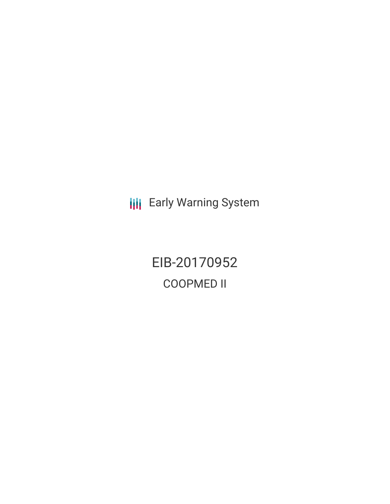**III** Early Warning System

EIB-20170952 COOPMED II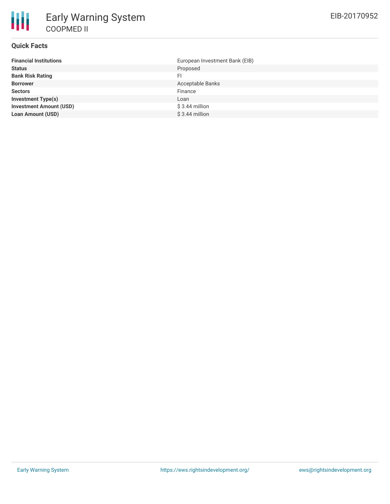## **Quick Facts**

| European Investment Bank (EIB) |
|--------------------------------|
| Proposed                       |
| FI                             |
| Acceptable Banks               |
| Finance                        |
| Loan                           |
| \$3.44 million                 |
| $$3.44$ million                |
|                                |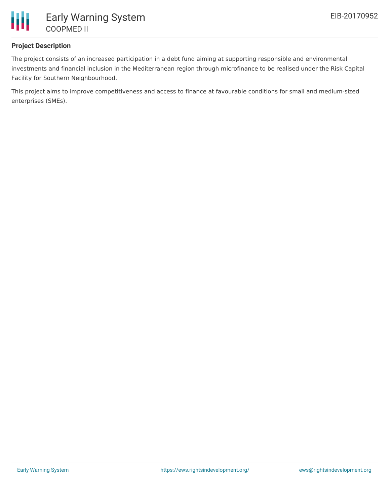

### **Project Description**

The project consists of an increased participation in a debt fund aiming at supporting responsible and environmental investments and financial inclusion in the Mediterranean region through microfinance to be realised under the Risk Capital Facility for Southern Neighbourhood.

This project aims to improve competitiveness and access to finance at favourable conditions for small and medium-sized enterprises (SMEs).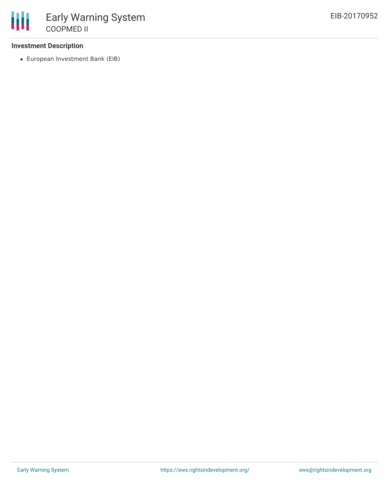### **Investment Description**

European Investment Bank (EIB)